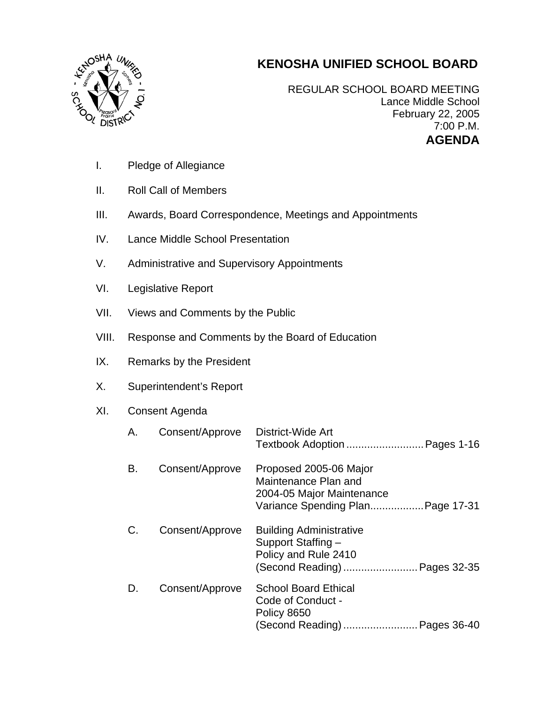## **KENOSHA UNIFIED SCHOOL BOARD**



REGULAR SCHOOL BOARD MEETING Lance Middle School February 22, 2005 7:00 P.M. **AGENDA** 

- I. Pledge of Allegiance
- II. Roll Call of Members
- III. Awards, Board Correspondence, Meetings and Appointments
- IV. Lance Middle School Presentation
- V. Administrative and Supervisory Appointments
- VI. Legislative Report
- VII. Views and Comments by the Public
- VIII. Response and Comments by the Board of Education
- IX. Remarks by the President
- X. Superintendent's Report

## XI. Consent Agenda

| Α. | Consent/Approve | District-Wide Art                                                                                                |
|----|-----------------|------------------------------------------------------------------------------------------------------------------|
| В. | Consent/Approve | Proposed 2005-06 Major<br>Maintenance Plan and<br>2004-05 Major Maintenance<br>Variance Spending Plan Page 17-31 |
| C. | Consent/Approve | <b>Building Administrative</b><br>Support Staffing -<br>Policy and Rule 2410<br>(Second Reading)  Pages 32-35    |
| D. | Consent/Approve | <b>School Board Ethical</b><br>Code of Conduct -<br>Policy 8650<br>(Second Reading)  Pages 36-40                 |